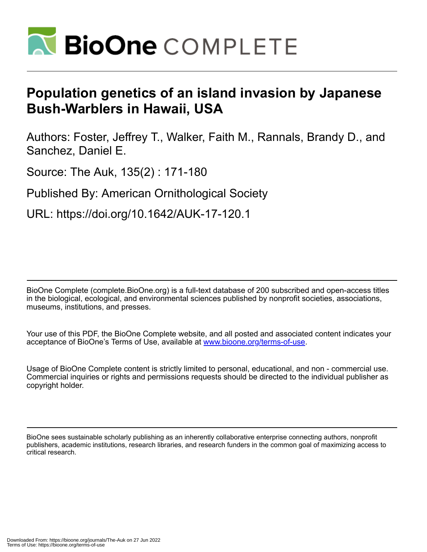

# **Population genetics of an island invasion by Japanese Bush-Warblers in Hawaii, USA**

Authors: Foster, Jeffrey T., Walker, Faith M., Rannals, Brandy D., and Sanchez, Daniel E.

Source: The Auk, 135(2) : 171-180

Published By: American Ornithological Society

URL: https://doi.org/10.1642/AUK-17-120.1

BioOne Complete (complete.BioOne.org) is a full-text database of 200 subscribed and open-access titles in the biological, ecological, and environmental sciences published by nonprofit societies, associations, museums, institutions, and presses.

Your use of this PDF, the BioOne Complete website, and all posted and associated content indicates your acceptance of BioOne's Terms of Use, available at www.bioone.org/terms-of-use.

Usage of BioOne Complete content is strictly limited to personal, educational, and non - commercial use. Commercial inquiries or rights and permissions requests should be directed to the individual publisher as copyright holder.

BioOne sees sustainable scholarly publishing as an inherently collaborative enterprise connecting authors, nonprofit publishers, academic institutions, research libraries, and research funders in the common goal of maximizing access to critical research.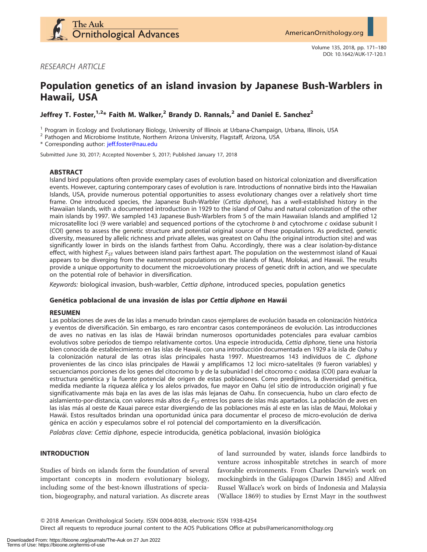

# RESEARCH ARTICLE

# Population genetics of an island invasion by Japanese Bush-Warblers in Hawaii, USA

Jeffrey T. Foster,<sup>1,2\*</sup> Faith M. Walker,<sup>2</sup> Brandy D. Rannals,<sup>2</sup> and Daniel E. Sanchez<sup>2</sup>

<sup>1</sup> Program in Ecology and Evolutionary Biology, University of Illinois at Urbana-Champaign, Urbana, Illinois, USA  $^2$  Pathogen and Microbiome Institute, Northern Arizona University, Flagstaff, Arizona, USA

\* Corresponding author: [jeff.foster@nau.edu](mailto:jeff.foster@nau.edu)

Submitted June 30, 2017; Accepted November 5, 2017; Published January 17, 2018

# ABSTRACT

Island bird populations often provide exemplary cases of evolution based on historical colonization and diversification events. However, capturing contemporary cases of evolution is rare. Introductions of nonnative birds into the Hawaiian Islands, USA, provide numerous potential opportunities to assess evolutionary changes over a relatively short time frame. One introduced species, the Japanese Bush-Warbler (Cettia diphone), has a well-established history in the Hawaiian Islands, with a documented introduction in 1929 to the island of Oahu and natural colonization of the other main islands by 1997. We sampled 143 Japanese Bush-Warblers from 5 of the main Hawaiian Islands and amplified 12 microsatellite loci (9 were variable) and sequenced portions of the cytochrome b and cytochrome c oxidase subunit I (COI) genes to assess the genetic structure and potential original source of these populations. As predicted, genetic diversity, measured by allelic richness and private alleles, was greatest on Oahu (the original introduction site) and was significantly lower in birds on the islands farthest from Oahu. Accordingly, there was a clear isolation-by-distance effect, with highest  $F_{ST}$  values between island pairs farthest apart. The population on the westernmost island of Kauai appears to be diverging from the easternmost populations on the islands of Maui, Molokai, and Hawaii. The results provide a unique opportunity to document the microevolutionary process of genetic drift in action, and we speculate on the potential role of behavior in diversification.

Keywords: biological invasion, bush-warbler, Cettia diphone, introduced species, population genetics

# Genética poblacional de una invasión de islas por Cettia diphone en Hawái

# RESUMEN

Las poblaciones de aves de las islas a menudo brindan casos ejemplares de evolución basada en colonización histórica y eventos de diversificación. Sin embargo, es raro encontrar casos contemporáneos de evolución. Las introducciones de aves no nativas en las islas de Hawái brindan numerosos oportunidades potenciales para evaluar cambios evolutivos sobre períodos de tiempo relativamente cortos. Una especie introducida, Cettia diphone, tiene una historia bien conocida de establecimiento en las islas de Hawái, con una introducción documentada en 1929 a la isla de Oahu y la colonización natural de las otras islas principales hasta 1997. Muestreamos 143 individuos de C. diphone provenientes de las cinco islas principales de Hawái y amplificamos 12 loci micro-satelitales (9 fueron variables) y secuenciamos porciones de los genes del citocromo b y de la subunidad I del citocromo c oxidasa (COI) para evaluar la estructura genética y la fuente potencial de origen de estas poblaciones. Como predijimos, la diversidad genética, medida mediante la riqueza alélica y los alelos privados, fue mayor en Oahu (el sitio de introducción original) y fue significativamente más baja en las aves de las islas más lejanas de Oahu. En consecuencia, hubo un claro efecto de aislamiento-por-distancia, con valores más altos de  $F_{ST}$  entres los pares de islas más apartados. La población de aves en las islas más al oeste de Kauai parece estar divergiendo de las poblaciones más al este en las islas de Maui, Molokai y Hawái. Estos resultados brindan una oportunidad única para documentar el proceso de micro-evolución de deriva génica en acción y especulamos sobre el rol potencial del comportamiento en la diversificación.

Palabras clave: Cettia diphone, especie introducida, genética poblacional, invasión biológica

# INTRODUCTION

Studies of birds on islands form the foundation of several important concepts in modern evolutionary biology, including some of the best-known illustrations of speciation, biogeography, and natural variation. As discrete areas of land surrounded by water, islands force landbirds to venture across inhospitable stretches in search of more favorable environments. From Charles Darwin's work on mockingbirds in the Galápagos (Darwin 1845) and Alfred Russel Wallace's work on birds of Indonesia and Malaysia (Wallace 1869) to studies by Ernst Mayr in the southwest

Q 2018 American Ornithological Society. ISSN 0004-8038, electronic ISSN 1938-4254

Direct all requests to reproduce journal content to the AOS Publications Office at pubs@americanornithology.org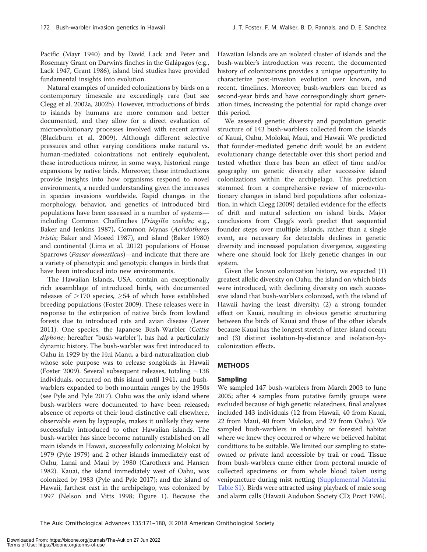Pacific (Mayr 1940) and by David Lack and Peter and Rosemary Grant on Darwin's finches in the Galápagos (e.g., Lack 1947, Grant 1986), island bird studies have provided fundamental insights into evolution.

Natural examples of unaided colonizations by birds on a contemporary timescale are exceedingly rare (but see Clegg et al. 2002a, 2002b). However, introductions of birds to islands by humans are more common and better documented, and they allow for a direct evaluation of microevolutionary processes involved with recent arrival (Blackburn et al. 2009). Although different selective pressures and other varying conditions make natural vs. human-mediated colonizations not entirely equivalent, these introductions mirror, in some ways, historical range expansions by native birds. Moreover, these introductions provide insights into how organisms respond to novel environments, a needed understanding given the increases in species invasions worldwide. Rapid changes in the morphology, behavior, and genetics of introduced bird populations have been assessed in a number of systems including Common Chaffinches (Fringilla coelebs; e.g., Baker and Jenkins 1987), Common Mynas (Acridotheres tristis; Baker and Moeed 1987), and island (Baker 1980) and continental (Lima et al. 2012) populations of House Sparrows (Passer domesticus)—and indicate that there are a variety of phenotypic and genotypic changes in birds that have been introduced into new environments.

The Hawaiian Islands, USA, contain an exceptionally rich assemblage of introduced birds, with documented releases of  $>$ 170 species,  $\geq$ 54 of which have established breeding populations (Foster 2009). These releases were in response to the extirpation of native birds from lowland forests due to introduced rats and avian disease (Lever 2011). One species, the Japanese Bush-Warbler (Cettia diphone; hereafter "bush-warbler"), has had a particularly dynamic history. The bush-warbler was first introduced to Oahu in 1929 by the Hui Manu, a bird-naturalization club whose sole purpose was to release songbirds in Hawaii (Foster 2009). Several subsequent releases, totaling  $\sim$ 138 individuals, occurred on this island until 1941, and bushwarblers expanded to both mountain ranges by the 1950s (see Pyle and Pyle 2017). Oahu was the only island where bush-warblers were documented to have been released; absence of reports of their loud distinctive call elsewhere, observable even by laypeople, makes it unlikely they were successfully introduced to other Hawaiian islands. The bush-warbler has since become naturally established on all main islands in Hawaii, successfully colonizing Molokai by 1979 (Pyle 1979) and 2 other islands immediately east of Oahu, Lanai and Maui by 1980 (Carothers and Hansen 1982). Kauai, the island immediately west of Oahu, was colonized by 1983 (Pyle and Pyle 2017); and the island of Hawaii, farthest east in the archipelago, was colonized by 1997 (Nelson and Vitts 1998; Figure 1). Because the

Hawaiian Islands are an isolated cluster of islands and the bush-warbler's introduction was recent, the documented history of colonizations provides a unique opportunity to characterize post-invasion evolution over known, and recent, timelines. Moreover, bush-warblers can breed as second-year birds and have correspondingly short generation times, increasing the potential for rapid change over this period.

We assessed genetic diversity and population genetic structure of 143 bush-warblers collected from the islands of Kauai, Oahu, Molokai, Maui, and Hawaii. We predicted that founder-mediated genetic drift would be an evident evolutionary change detectable over this short period and tested whether there has been an effect of time and/or geography on genetic diversity after successive island colonizations within the archipelago. This prediction stemmed from a comprehensive review of microevolutionary changes in island bird populations after colonization, in which Clegg (2009) detailed evidence for the effects of drift and natural selection on island birds. Major conclusions from Clegg's work predict that sequential founder steps over multiple islands, rather than a single event, are necessary for detectable declines in genetic diversity and increased population divergence, suggesting where one should look for likely genetic changes in our system.

Given the known colonization history, we expected (1) greatest allelic diversity on Oahu, the island on which birds were introduced, with declining diversity on each successive island that bush-warblers colonized, with the island of Hawaii having the least diversity; (2) a strong founder effect on Kauai, resulting in obvious genetic structuring between the birds of Kauai and those of the other islands because Kauai has the longest stretch of inter-island ocean; and (3) distinct isolation-by-distance and isolation-bycolonization effects.

# METHODS

# Sampling

We sampled 147 bush-warblers from March 2003 to June 2005; after 4 samples from putative family groups were excluded because of high genetic relatedness, final analyses included 143 individuals (12 from Hawaii, 40 from Kauai, 22 from Maui, 40 from Molokai, and 29 from Oahu). We sampled bush-warblers in shrubby or forested habitat where we knew they occurred or where we believed habitat conditions to be suitable. We limited our sampling to stateowned or private land accessible by trail or road. Tissue from bush-warblers came either from pectoral muscle of collected specimens or from whole blood taken using venipuncture during mist netting [\(Supplemental](https://www.doi.org/10.1642/AUK-17-120.1) Material Table S1). Birds were attracted using playback of male song and alarm calls (Hawaii Audubon Society CD; Pratt 1996).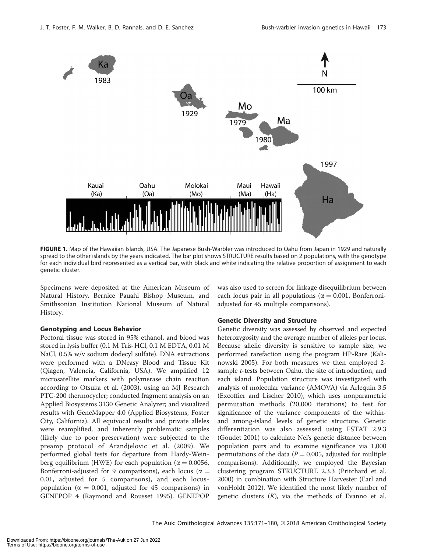

FIGURE 1. Map of the Hawaiian Islands, USA. The Japanese Bush-Warbler was introduced to Oahu from Japan in 1929 and naturally spread to the other islands by the years indicated. The bar plot shows STRUCTURE results based on 2 populations, with the genotype for each individual bird represented as a vertical bar, with black and white indicating the relative proportion of assignment to each genetic cluster.

Specimens were deposited at the American Museum of Natural History, Bernice Pauahi Bishop Museum, and Smithsonian Institution National Museum of Natural History.

# Genotyping and Locus Behavior

Pectoral tissue was stored in 95% ethanol, and blood was stored in lysis buffer (0.1 M Tris-HCl, 0.1 M EDTA, 0.01 M NaCl, 0.5% w/v sodium dodecyl sulfate). DNA extractions were performed with a DNeasy Blood and Tissue Kit (Qiagen, Valencia, California, USA). We amplified 12 microsatellite markers with polymerase chain reaction according to Otsuka et al. (2003), using an MJ Research PTC-200 thermocycler; conducted fragment analysis on an Applied Biosystems 3130 Genetic Analyzer; and visualized results with GeneMapper 4.0 (Applied Biosystems, Foster City, California). All equivocal results and private alleles were reamplified, and inherently problematic samples (likely due to poor preservation) were subjected to the preamp protocol of Arandjelovic et al. (2009). We performed global tests for departure from Hardy-Weinberg equilibrium (HWE) for each population ( $\alpha = 0.0056$ , Bonferroni-adjusted for 9 comparisons), each locus ( $\alpha$  = 0.01, adjusted for 5 comparisons), and each locuspopulation ( $\alpha = 0.001$ , adjusted for 45 comparisons) in GENEPOP 4 (Raymond and Rousset 1995). GENEPOP

was also used to screen for linkage disequilibrium between each locus pair in all populations ( $\alpha = 0.001$ , Bonferroniadjusted for 45 multiple comparisons).

# Genetic Diversity and Structure

Genetic diversity was assessed by observed and expected heterozygosity and the average number of alleles per locus. Because allelic diversity is sensitive to sample size, we performed rarefaction using the program HP-Rare (Kalinowski 2005). For both measures we then employed 2 sample *t*-tests between Oahu, the site of introduction, and each island. Population structure was investigated with analysis of molecular variance (AMOVA) via Arlequin 3.5 (Excoffier and Lischer 2010), which uses nonparametric permutation methods (20,000 iterations) to test for significance of the variance components of the withinand among-island levels of genetic structure. Genetic differentiation was also assessed using FSTAT 2.9.3 (Goudet 2001) to calculate Nei's genetic distance between population pairs and to examine significance via 1,000 permutations of the data ( $P = 0.005$ , adjusted for multiple comparisons). Additionally, we employed the Bayesian clustering program STRUCTURE 2.3.3 (Pritchard et al. 2000) in combination with Structure Harvester (Earl and vonHoldt 2012). We identified the most likely number of genetic clusters  $(K)$ , via the methods of Evanno et al.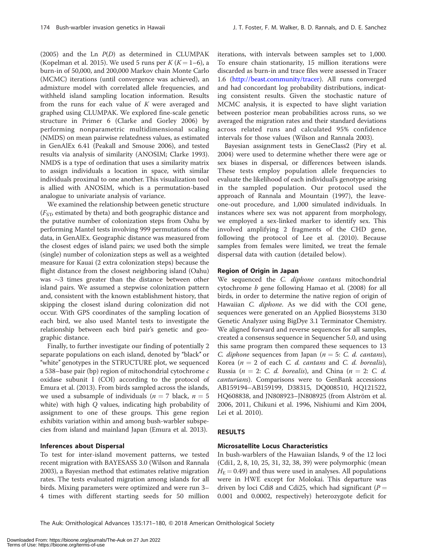(2005) and the Ln  $P(D)$  as determined in CLUMPAK (Kopelman et al. 2015). We used 5 runs per  $K(K = 1-6)$ , a burn-in of 50,000, and 200,000 Markov chain Monte Carlo (MCMC) iterations (until convergence was achieved), an admixture model with correlated allele frequencies, and withheld island sampling location information. Results from the runs for each value of K were averaged and graphed using CLUMPAK. We explored fine-scale genetic structure in Primer 6 (Clarke and Gorley 2006) by performing nonparametric multidimensional scaling (NMDS) on mean pairwise relatedness values, as estimated in GenAlEx 6.41 (Peakall and Smouse 2006), and tested results via analysis of similarity (ANOSIM; Clarke 1993). NMDS is a type of ordination that uses a similarity matrix to assign individuals a location in space, with similar individuals proximal to one another. This visualization tool is allied with ANOSIM, which is a permutation-based analogue to univariate analysis of variance.

We examined the relationship between genetic structure  $(F_{ST}$ , estimated by theta) and both geographic distance and the putative number of colonization steps from Oahu by performing Mantel tests involving 999 permutations of the data, in GenAlEx. Geographic distance was measured from the closest edges of island pairs; we used both the simple (single) number of colonization steps as well as a weighted measure for Kauai (2 extra colonization steps) because the flight distance from the closest neighboring island (Oahu) was  $\sim$ 3 times greater than the distance between other island pairs. We assumed a stepwise colonization pattern and, consistent with the known establishment history, that skipping the closest island during colonization did not occur. With GPS coordinates of the sampling location of each bird, we also used Mantel tests to investigate the relationship between each bird pair's genetic and geographic distance.

Finally, to further investigate our finding of potentially 2 separate populations on each island, denoted by ''black'' or ''white'' genotypes in the STRUCTURE plot, we sequenced a 538–base pair (bp) region of mitochondrial cytochrome c oxidase subunit I (COI) according to the protocol of Emura et al. (2013). From birds sampled across the islands, we used a subsample of individuals ( $n = 7$  black,  $n = 5$ white) with high Q values, indicating high probability of assignment to one of these groups. This gene region exhibits variation within and among bush-warbler subspecies from island and mainland Japan (Emura et al. 2013).

#### Inferences about Dispersal

To test for inter-island movement patterns, we tested recent migration with BAYESASS 3.0 (Wilson and Rannala 2003), a Bayesian method that estimates relative migration rates. The tests evaluated migration among islands for all birds. Mixing parameters were optimized and were run 3– 4 times with different starting seeds for 50 million iterations, with intervals between samples set to 1,000. To ensure chain stationarity, 15 million iterations were discarded as burn-in and trace files were assessed in Tracer 1.6 [\(http://beast.community/tracer](http://beast.community/tracer)). All runs converged and had concordant log probability distributions, indicating consistent results. Given the stochastic nature of MCMC analysis, it is expected to have slight variation between posterior mean probabilities across runs, so we averaged the migration rates and their standard deviations across related runs and calculated 95% confidence intervals for those values (Wilson and Rannala 2003).

Bayesian assignment tests in GeneClass2 (Piry et al. 2004) were used to determine whether there were age or sex biases in dispersal, or differences between islands. These tests employ population allele frequencies to evaluate the likelihood of each individual's genotype arising in the sampled population. Our protocol used the approach of Rannala and Mountain (1997), the leaveone-out procedure, and 1,000 simulated individuals. In instances where sex was not apparent from morphology, we employed a sex-linked marker to identify sex. This involved amplifying 2 fragments of the CHD gene, following the protocol of Lee et al. (2010). Because samples from females were limited, we treat the female dispersal data with caution (detailed below).

#### Region of Origin in Japan

We sequenced the C. diphone cantans mitochondrial cytochrome b gene following Hamao et al. (2008) for all birds, in order to determine the native region of origin of Hawaiian *C. diphone*. As we did with the COI gene, sequences were generated on an Applied Biosystems 3130 Genetic Analyzer using BigDye 3.1 Terminator Chemistry. We aligned forward and reverse sequences for all samples, created a consensus sequence in Sequencher 5.0, and using this same program then compared these sequences to 13 C. diphone sequences from Japan ( $n = 5$ : C. d. cantans), Korea ( $n = 2$  of each C. d. cantans and C. d. borealis), Russia ( $n = 2$ : C. d. borealis), and China ( $n = 2$ : C. d. canturians). Comparisons were to GenBank accessions AB159194–AB159199, D38315, DQ008510, HQ121522, HQ608838, and JN808923-JN808925 (from Alström et al. 2006, 2011, Chikuni et al. 1996, Nishiumi and Kim 2004, Lei et al. 2010).

#### RESULTS

#### Microsatellite Locus Characteristics

In bush-warblers of the Hawaiian Islands, 9 of the 12 loci (Cdi1, 2, 8, 10, 25, 31, 32, 38, 39) were polymorphic (mean  $H_{\rm E}$  = 0.49) and thus were used in analyses. All populations were in HWE except for Molokai. This departure was driven by loci Cdi8 and Cdi25, which had significant ( $P =$ 0.001 and 0.0002, respectively) heterozygote deficit for

The Auk: Ornithological Advances 135:171-180, © 2018 American Ornithological Society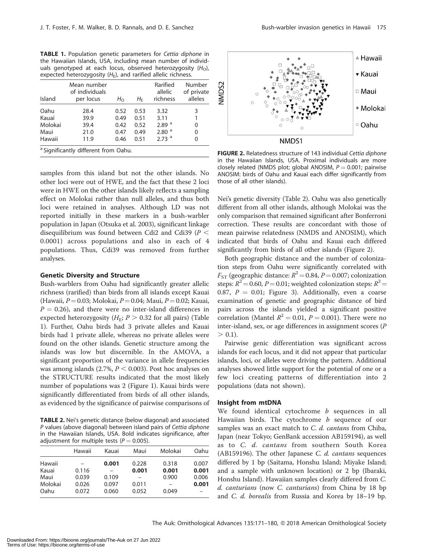TABLE 1. Population genetic parameters for Cettia diphone in the Hawaiian Islands, USA, including mean number of individuals genotyped at each locus, observed heterozygosity  $(H<sub>O</sub>)$ , expected heterozygosity  $(H_E)$ , and rarified allelic richness.

| Island                                          | Mean number<br>of individuals<br>per locus | $H_{\Omega}$ | $H_{\mathsf{F}}$ | Rarified<br>allelic<br>richness | Number<br>of private<br>alleles |  |  |
|-------------------------------------------------|--------------------------------------------|--------------|------------------|---------------------------------|---------------------------------|--|--|
| Oahu                                            | 28.4                                       | 0.52         | 0.53             | 3.32                            | 3                               |  |  |
| Kauai                                           | 39.9                                       | 0.49         | 0.51             | 3.11                            | 1                               |  |  |
| Molokai                                         | 39.4                                       | 0.42         | 0.52             | 2.89 <sup>a</sup>               | 0                               |  |  |
| Maui                                            | 21.0                                       | 0.47         | 0.49             | 2.80 <sup>a</sup>               | 0                               |  |  |
| Hawaii                                          | 11.9                                       | 0.46         | 0.51             | 2.73 <sup>a</sup>               | 0                               |  |  |
| <sup>a</sup> Significantly different from Oahu. |                                            |              |                  |                                 |                                 |  |  |

samples from this island but not the other islands. No other loci were out of HWE, and the fact that these 2 loci were in HWE on the other islands likely reflects a sampling effect on Molokai rather than null alleles, and thus both loci were retained in analyses. Although LD was not reported initially in these markers in a bush-warbler population in Japan (Otsuka et al. 2003), significant linkage disequilibrium was found between Cdi2 and Cdi39 ( $P <$ 0.0001) across populations and also in each of 4 populations. Thus, Cdi39 was removed from further analyses.

#### Genetic Diversity and Structure

Bush-warblers from Oahu had significantly greater allelic richness (rarified) than birds from all islands except Kauai (Hawaii,  $P = 0.03$ ; Molokai,  $P = 0.04$ ; Maui,  $P = 0.02$ ; Kauai,  $P = 0.26$ ), and there were no inter-island differences in expected heterozygosity ( $H<sub>E</sub>$ ;  $P > 0.32$  for all pairs) (Table 1). Further, Oahu birds had 3 private alleles and Kauai birds had 1 private allele, whereas no private alleles were found on the other islands. Genetic structure among the islands was low but discernible. In the AMOVA, a significant proportion of the variance in allele frequencies was among islands  $(2.7\%, P < 0.003)$ . Post hoc analyses on the STRUCTURE results indicated that the most likely number of populations was 2 (Figure 1). Kauai birds were significantly differentiated from birds of all other islands, as evidenced by the significance of pairwise comparisons of

TABLE 2. Nei's genetic distance (below diagonal) and associated P values (above diagonal) between island pairs of Cettia diphone in the Hawaiian Islands, USA. Bold indicates significance, after adjustment for multiple tests ( $P = 0.005$ ).

|         | Hawaii | Kauai | Maui  | Molokai | Oahu  |
|---------|--------|-------|-------|---------|-------|
| Hawaii  |        | 0.001 | 0.228 | 0.318   | 0.007 |
| Kauai   | 0.116  |       | 0.001 | 0.001   | 0.001 |
| Maui    | 0.039  | 0.109 |       | 0.900   | 0.006 |
| Molokai | 0.026  | 0.097 | 0.011 |         | 0.001 |
| Oahu    | 0.072  | 0.060 | 0.052 | 0.049   |       |



FIGURE 2. Relatedness structure of 143 individual Cettia diphone in the Hawaiian Islands, USA. Proximal individuals are more closely related (NMDS plot; global ANOSIM,  $P = 0.001$ ; pairwise ANOSIM: birds of Oahu and Kauai each differ significantly from those of all other islands).

Nei's genetic diversity (Table 2). Oahu was also genetically different from all other islands, although Molokai was the only comparison that remained significant after Bonferroni correction. These results are concordant with those of mean pairwise relatedness (NMDS and ANOSIM), which indicated that birds of Oahu and Kauai each differed significantly from birds of all other islands (Figure 2).

Both geographic distance and the number of colonization steps from Oahu were significantly correlated with  $F_{ST}$  (geographic distance:  $R^2$  = 0.84, P = 0.007; colonization steps:  $R^2$  = 0.60, P = 0.01; weighted colonization steps:  $R^2$  = 0.87,  $P = 0.01$ ; Figure 3). Additionally, even a coarse examination of genetic and geographic distance of bird pairs across the islands yielded a significant positive correlation (Mantel  $R^2 = 0.01$ ,  $P = 0.001$ ). There were no inter-island, sex, or age differences in assignment scores  $(P)$  $> 0.1$ ).

Pairwise genic differentiation was significant across islands for each locus, and it did not appear that particular islands, loci, or alleles were driving the pattern. Additional analyses showed little support for the potential of one or a few loci creating patterns of differentiation into 2 populations (data not shown).

#### Insight from mtDNA

We found identical cytochrome  $b$  sequences in all Hawaiian birds. The cytochrome  $b$  sequence of our samples was an exact match to C. d. cantans from Chiba, Japan (near Tokyo; GenBank accession AB159194), as well as to C. d. cantans from southern South Korea (AB159196). The other Japanese C. d. cantans sequences differed by 1 bp (Saitama, Honshu Island; Miyake Island; and a sample with unknown location) or 2 bp (Ibaraki, Honshu Island). Hawaiian samples clearly differed from C. d. canturians (now C. canturians) from China by 18 bp and C. d. borealis from Russia and Korea by 18–19 bp.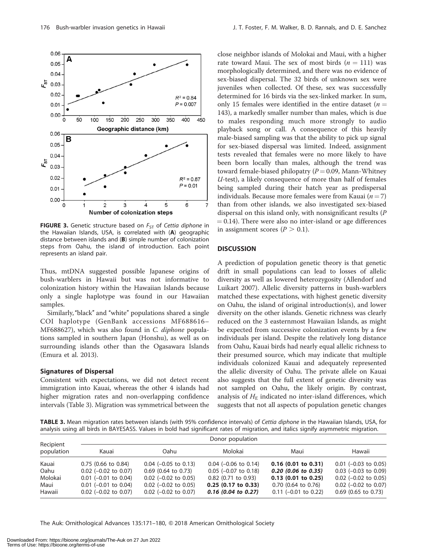

**FIGURE 3.** Genetic structure based on  $F_{ST}$  of Cettia diphone in the Hawaiian Islands, USA, is correlated with (A) geographic distance between islands and (B) simple number of colonization steps from Oahu, the island of introduction. Each point represents an island pair.

Thus, mtDNA suggested possible Japanese origins of bush-warblers in Hawaii but was not informative to colonization history within the Hawaiian Islands because only a single haplotype was found in our Hawaiian samples.

Similarly, "black" and "white" populations shared a single COI haplotype (GenBank accessions MF688616– MF688627), which was also found in C. diphone populations sampled in southern Japan (Honshu), as well as on surrounding islands other than the Ogasawara Islands (Emura et al. 2013).

#### Signatures of Dispersal

Consistent with expectations, we did not detect recent immigration into Kauai, whereas the other 4 islands had higher migration rates and non-overlapping confidence intervals (Table 3). Migration was symmetrical between the

close neighbor islands of Molokai and Maui, with a higher rate toward Maui. The sex of most birds  $(n = 111)$  was morphologically determined, and there was no evidence of sex-biased dispersal. The 32 birds of unknown sex were juveniles when collected. Of these, sex was successfully determined for 16 birds via the sex-linked marker. In sum, only 15 females were identified in the entire dataset ( $n =$ 143), a markedly smaller number than males, which is due to males responding much more strongly to audio playback song or call. A consequence of this heavily male-biased sampling was that the ability to pick up signal for sex-biased dispersal was limited. Indeed, assignment tests revealed that females were no more likely to have been born locally than males, although the trend was toward female-biased philopatry ( $P = 0.09$ , Mann-Whitney  $U$ -test), a likely consequence of more than half of females being sampled during their hatch year as predispersal individuals. Because more females were from Kauai ( $n = 7$ ) than from other islands, we also investigated sex-biased dispersal on this island only, with nonsignificant results (P  $= 0.14$ ). There were also no inter-island or age differences in assignment scores ( $P > 0.1$ ).

# **DISCUSSION**

A prediction of population genetic theory is that genetic drift in small populations can lead to losses of allelic diversity as well as lowered heterozygosity (Allendorf and Luikart 2007). Allelic diversity patterns in bush-warblers matched these expectations, with highest genetic diversity on Oahu, the island of original introduction(s), and lower diversity on the other islands. Genetic richness was clearly reduced on the 3 easternmost Hawaiian Islands, as might be expected from successive colonization events by a few individuals per island. Despite the relatively long distance from Oahu, Kauai birds had nearly equal allelic richness to their presumed source, which may indicate that multiple individuals colonized Kauai and adequately represented the allelic diversity of Oahu. The private allele on Kauai also suggests that the full extent of genetic diversity was not sampled on Oahu, the likely origin. By contrast, analysis of  $H<sub>E</sub>$  indicated no inter-island differences, which suggests that not all aspects of population genetic changes

TABLE 3. Mean migration rates between islands (with 95% confidence intervals) of Cettia diphone in the Hawaiian Islands, USA, for analysis using all birds in BAYESASS. Values in bold had significant rates of migration, and italics signify asymmetric migration.

| Recipient<br>population          | Donor population                                                                                    |                                                                                                     |                                                                                                    |                                                                                                  |                                                                                                      |  |  |  |
|----------------------------------|-----------------------------------------------------------------------------------------------------|-----------------------------------------------------------------------------------------------------|----------------------------------------------------------------------------------------------------|--------------------------------------------------------------------------------------------------|------------------------------------------------------------------------------------------------------|--|--|--|
|                                  | Kauai                                                                                               | Oahu                                                                                                | Molokai                                                                                            | Maui                                                                                             | Hawaii                                                                                               |  |  |  |
| Kauai<br>Oahu<br>Molokai<br>Maui | $0.75$ (0.66 to 0.84)<br>$0.02$ (-0.02 to 0.07)<br>$0.01$ (-0.01 to 0.04)<br>$0.01$ (-0.01 to 0.04) | $0.04$ (-0.05 to 0.13)<br>$0.69$ (0.64 to 0.73)<br>$0.02$ (-0.02 to 0.05)<br>$0.02$ (-0.02 to 0.05) | $0.04$ (-0.06 to 0.14)<br>$0.05$ (-0.07 to 0.18)<br>$0.82$ (0.71 to 0.93)<br>$0.25$ (0.17 to 0.33) | $0.16$ (0.01 to 0.31)<br>$0.20$ (0.06 to 0.35)<br>$0.13$ (0.01 to 0.25)<br>$0.70$ (0.64 to 0.76) | $0.01$ (-0.03 to 0.05)<br>$0.03$ (-0.03 to 0.09)<br>$0.02$ (-0.02 to 0.05)<br>$0.02$ (-0.02 to 0.07) |  |  |  |
| Hawaii                           | $0.02$ (-0.02 to 0.07)                                                                              | $0.02$ (-0.02 to 0.07)                                                                              | $0.16$ (0.04 to 0.27)                                                                              | $0.11$ (-0.01 to 0.22)                                                                           | $0.69$ (0.65 to 0.73)                                                                                |  |  |  |

The Auk: Ornithological Advances 135:171-180, © 2018 American Ornithological Society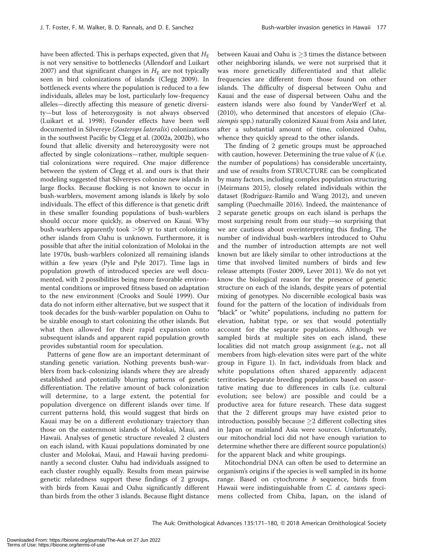have been affected. This is perhaps expected, given that  $H_{\rm E}$ is not very sensitive to bottlenecks (Allendorf and Luikart 2007) and that significant changes in  $H<sub>E</sub>$  are not typically seen in bird colonizations of islands (Clegg 2009). In bottleneck events where the population is reduced to a few individuals, alleles may be lost, particularly low-frequency alleles—directly affecting this measure of genetic diversity—but loss of heterozygosity is not always observed (Luikart et al. 1998). Founder effects have been well documented in Silvereye (Zosterops lateralis) colonizations in the southwest Pacific by Clegg et al. (2002a, 2002b), who found that allelic diversity and heterozygosity were not affected by single colonizations—rather, multiple sequential colonizations were required. One major difference between the system of Clegg et al. and ours is that their modeling suggested that Silvereyes colonize new islands in large flocks. Because flocking is not known to occur in bush-warblers, movement among islands is likely by solo individuals. The effect of this difference is that genetic drift in these smaller founding populations of bush-warblers should occur more quickly, as observed on Kauai. Why bush-warblers apparently took  $>50$  yr to start colonizing other islands from Oahu is unknown. Furthermore, it is possible that after the initial colonization of Molokai in the late 1970s, bush-warblers colonized all remaining islands within a few years (Pyle and Pyle 2017). Time lags in population growth of introduced species are well documented, with 2 possibilities being more favorable environmental conditions or improved fitness based on adaptation to the new environment (Crooks and Soulé 1999). Our data do not inform either alternative, but we suspect that it took decades for the bush-warbler population on Oahu to be sizable enough to start colonizing the other islands. But what then allowed for their rapid expansion onto subsequent islands and apparent rapid population growth provides substantial room for speculation.

Patterns of gene flow are an important determinant of standing genetic variation. Nothing prevents bush-warblers from back-colonizing islands where they are already established and potentially blurring patterns of genetic differentiation. The relative amount of back colonization will determine, to a large extent, the potential for population divergence on different islands over time. If current patterns hold, this would suggest that birds on Kauai may be on a different evolutionary trajectory than those on the easternmost islands of Molokai, Maui, and Hawaii. Analyses of genetic structure revealed 2 clusters on each island, with Kauai populations dominated by one cluster and Molokai, Maui, and Hawaii having predominantly a second cluster. Oahu had individuals assigned to each cluster roughly equally. Results from mean pairwise genetic relatedness support these findings of 2 groups, with birds from Kauai and Oahu significantly different than birds from the other 3 islands. Because flight distance

between Kauai and Oahu is  $\geq$ 3 times the distance between other neighboring islands, we were not surprised that it was more genetically differentiated and that allelic frequencies are different from those found on other islands. The difficulty of dispersal between Oahu and Kauai and the ease of dispersal between Oahu and the eastern islands were also found by VanderWerf et al. (2010), who determined that ancestors of elepaio (Chasiempis spp.) naturally colonized Kauai from Asia and later, after a substantial amount of time, colonized Oahu, whence they quickly spread to the other islands.

The finding of 2 genetic groups must be approached with caution, however. Determining the true value of  $K$  (i.e. the number of populations) has considerable uncertainty, and use of results from STRUCTURE can be complicated by many factors, including complex population structuring (Meirmans 2015), closely related individuals within the dataset (Rodríguez-Ramilo and Wang 2012), and uneven sampling (Puechmaille 2016). Indeed, the maintenance of 2 separate genetic groups on each island is perhaps the most surprising result from our study—so surprising that we are cautious about overinterpreting this finding. The number of individual bush-warblers introduced to Oahu and the number of introduction attempts are not well known but are likely similar to other introductions at the time that involved limited numbers of birds and few release attempts (Foster 2009, Lever 2011). We do not yet know the biological reason for the presence of genetic structure on each of the islands, despite years of potential mixing of genotypes. No discernible ecological basis was found for the pattern of the location of individuals from "black" or "white" populations, including no pattern for elevation, habitat type, or sex that would potentially account for the separate populations. Although we sampled birds at multiple sites on each island, these localities did not match group assignment (e.g., not all members from high-elevation sites were part of the white group in Figure 1). In fact, individuals from black and white populations often shared apparently adjacent territories. Separate breeding populations based on assortative mating due to differences in calls (i.e. cultural evolution; see below) are possible and could be a productive area for future research. These data suggest that the 2 different groups may have existed prior to introduction, possibly because  $\geq$  different collecting sites in Japan or mainland Asia were sources. Unfortunately, our mitochondrial loci did not have enough variation to determine whether there are different source population(s) for the apparent black and white groupings.

Mitochondrial DNA can often be used to determine an organism's origins if the species is well sampled in its home range. Based on cytochrome  $b$  sequence, birds from Hawaii were indistinguishable from C. d. cantans specimens collected from Chiba, Japan, on the island of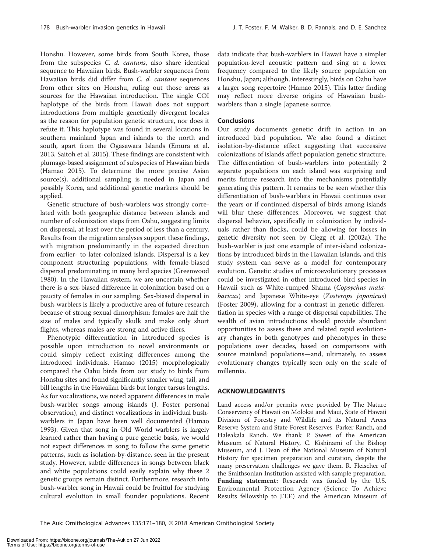Honshu. However, some birds from South Korea, those from the subspecies C. d. cantans, also share identical sequence to Hawaiian birds. Bush-warbler sequences from Hawaiian birds did differ from C. d. cantans sequences from other sites on Honshu, ruling out those areas as sources for the Hawaiian introduction. The single COI haplotype of the birds from Hawaii does not support introductions from multiple genetically divergent locales as the reason for population genetic structure, nor does it refute it. This haplotype was found in several locations in southern mainland Japan and islands to the north and south, apart from the Ogasawara Islands (Emura et al. 2013, Saitoh et al. 2015). These findings are consistent with plumage-based assignment of subspecies of Hawaiian birds (Hamao 2015). To determine the more precise Asian source(s), additional sampling is needed in Japan and possibly Korea, and additional genetic markers should be applied.

Genetic structure of bush-warblers was strongly correlated with both geographic distance between islands and number of colonization steps from Oahu, suggesting limits on dispersal, at least over the period of less than a century. Results from the migration analyses support these findings, with migration predominantly in the expected direction from earlier- to later-colonized islands. Dispersal is a key component structuring populations, with female-biased dispersal predominating in many bird species (Greenwood 1980). In the Hawaiian system, we are uncertain whether there is a sex-biased difference in colonization based on a paucity of females in our sampling. Sex-biased dispersal in bush-warblers is likely a productive area of future research because of strong sexual dimorphism; females are half the size of males and typically skulk and make only short flights, whereas males are strong and active fliers.

Phenotypic differentiation in introduced species is possible upon introduction to novel environments or could simply reflect existing differences among the introduced individuals. Hamao (2015) morphologically compared the Oahu birds from our study to birds from Honshu sites and found significantly smaller wing, tail, and bill lengths in the Hawaiian birds but longer tarsus lengths. As for vocalizations, we noted apparent differences in male bush-warbler songs among islands (J. Foster personal observation), and distinct vocalizations in individual bushwarblers in Japan have been well documented (Hamao 1993). Given that song in Old World warblers is largely learned rather than having a pure genetic basis, we would not expect differences in song to follow the same genetic patterns, such as isolation-by-distance, seen in the present study. However, subtle differences in songs between black and white populations could easily explain why these 2 genetic groups remain distinct. Furthermore, research into bush-warbler song in Hawaii could be fruitful for studying cultural evolution in small founder populations. Recent

data indicate that bush-warblers in Hawaii have a simpler population-level acoustic pattern and sing at a lower frequency compared to the likely source population on Honshu, Japan; although, interestingly, birds on Oahu have a larger song repertoire (Hamao 2015). This latter finding may reflect more diverse origins of Hawaiian bushwarblers than a single Japanese source.

# Conclusions

Our study documents genetic drift in action in an introduced bird population. We also found a distinct isolation-by-distance effect suggesting that successive colonizations of islands affect population genetic structure. The differentiation of bush-warblers into potentially 2 separate populations on each island was surprising and merits future research into the mechanisms potentially generating this pattern. It remains to be seen whether this differentiation of bush-warblers in Hawaii continues over the years or if continued dispersal of birds among islands will blur these differences. Moreover, we suggest that dispersal behavior, specifically in colonization by individuals rather than flocks, could be allowing for losses in genetic diversity not seen by Clegg et al. (2002a). The bush-warbler is just one example of inter-island colonizations by introduced birds in the Hawaiian Islands, and this study system can serve as a model for contemporary evolution. Genetic studies of microevolutionary processes could be investigated in other introduced bird species in Hawaii such as White-rumped Shama (Copsychus malabaricus) and Japanese White-eye (Zosterops japonicus) (Foster 2009), allowing for a contrast in genetic differentiation in species with a range of dispersal capabilities. The wealth of avian introductions should provide abundant opportunities to assess these and related rapid evolutionary changes in both genotypes and phenotypes in these populations over decades, based on comparisons with source mainland populations—and, ultimately, to assess evolutionary changes typically seen only on the scale of millennia.

# ACKNOWLEDGMENTS

Land access and/or permits were provided by The Nature Conservancy of Hawaii on Molokai and Maui, State of Hawaii Division of Forestry and Wildlife and its Natural Areas Reserve System and State Forest Reserves, Parker Ranch, and Haleakala Ranch. We thank P. Sweet of the American Museum of Natural History, C. Kishinami of the Bishop Museum, and J. Dean of the National Museum of Natural History for specimen preparation and curation, despite the many preservation challenges we gave them. R. Fleischer of the Smithsonian Institution assisted with sample preparation. Funding statement: Research was funded by the U.S. Environmental Protection Agency (Science To Achieve Results fellowship to J.T.F.) and the American Museum of

The Auk: Ornithological Advances 135:171-180, © 2018 American Ornithological Society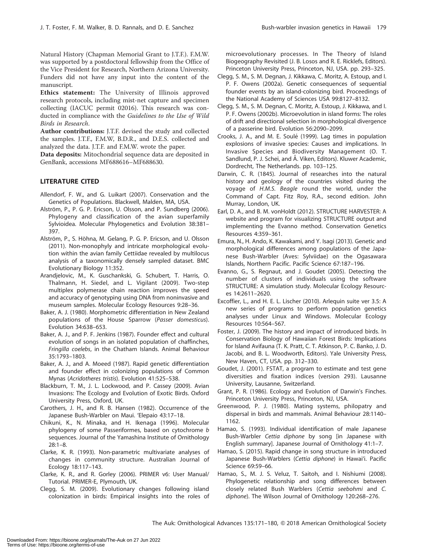Natural History (Chapman Memorial Grant to J.T.F.). F.M.W. was supported by a postdoctoral fellowship from the Office of the Vice President for Research, Northern Arizona University. Funders did not have any input into the content of the manuscript.

Ethics statement: The University of Illinois approved research protocols, including mist-net capture and specimen collecting (IACUC permit 02016). This research was conducted in compliance with the Guidelines to the Use of Wild Birds in Research.

Author contributions: J.T.F. devised the study and collected the samples. J.T.F., F.M.W, B.D.R., and D.E.S. collected and analyzed the data. J.T.F. and F.M.W. wrote the paper.

Data deposits: Mitochondrial sequence data are deposited in GenBank, accessions MF688616–MF688630.

# LITERATURE CITED

- Allendorf, F. W., and G. Luikart (2007). Conservation and the Genetics of Populations. Blackwell, Malden, MA, USA.
- Alström, P., P. G. P. Ericson, U. Olsson, and P. Sundberg (2006). Phylogeny and classification of the avian superfamily Sylvioidea. Molecular Phylogenetics and Evolution 38:381– 397.
- Alström, P., S. Höhna, M. Gelang, P. G. P. Ericson, and U. Olsson (2011). Non-monophyly and intricate morphological evolution within the avian family Cettiidae revealed by multilocus analysis of a taxonomically densely sampled dataset. BMC Evolutionary Biology 11:352.
- Arandjelovic, M., K. Guschankski, G. Schubert, T. Harris, O. Thalmann, H. Siedel, and L. Vigilant (2009). Two-step multiplex polymerase chain reaction improves the speed and accuracy of genotyping using DNA from noninvasive and museum samples. Molecular Ecology Resources 9:28–36.
- Baker, A. J. (1980). Morphometric differentiation in New Zealand populations of the House Sparrow (Passer domesticus). Evolution 34:638–653.
- Baker, A. J., and P. F. Jenkins (1987). Founder effect and cultural evolution of songs in an isolated population of chaffinches, Fringilla coelebs, in the Chatham Islands. Animal Behaviour 35:1793–1803.
- Baker, A. J., and A. Moeed (1987). Rapid genetic differentiation and founder effect in colonizing populations of Common Mynas (Acridotheres tristis). Evolution 41:525–538.
- Blackburn, T. M., J. L. Lockwood, and P. Cassey (2009). Avian Invasions: The Ecology and Evolution of Exotic Birds. Oxford University Press, Oxford, UK.
- Carothers, J. H., and R. B. Hansen (1982). Occurrence of the Japanese Bush-Warbler on Maui. 'Elepaio 43:17–18.
- Chikuni, K., N. Minaka, and H. Ikenaga (1996). Molecular phylogeny of some Passeriformes, based on cytochrome b sequences. Journal of the Yamashina Institute of Ornithology 28:1–8.
- Clarke, K. R. (1993). Non-parametric multivariate analyses of changes in community structure. Australian Journal of Ecology 18:117–143.
- Clarke, K. R., and R. Gorley (2006). PRIMER v6: User Manual/ Tutorial. PRIMER-E, Plymouth, UK.
- Clegg, S. M. (2009). Evolutionary changes following island colonization in birds: Empirical insights into the roles of

microevolutionary processes. In The Theory of Island Biogeography Revisited (J. B. Losos and R. E. Ricklefs, Editors). Princeton University Press, Princeton, NJ, USA. pp. 293–325.

- Clegg, S. M., S. M. Degnan, J. Kikkawa, C. Moritz, A. Estoup, and I. P. F. Owens (2002a). Genetic consequences of sequential founder events by an island-colonizing bird. Proceedings of the National Academy of Sciences USA 99:8127–8132.
- Clegg, S. M., S. M. Degnan, C. Moritz, A. Estoup, J. Kikkawa, and I. P. F. Owens (2002b). Microevolution in island forms: The roles of drift and directional selection in morphological divergence of a passerine bird. Evolution 56:2090–2099.
- Crooks, J. A., and M. E. Soulé (1999). Lag times in population explosions of invasive species: Causes and implications. In Invasive Species and Biodiversity Management (O. T. Sandlund, P. J. Schei, and Å. Viken, Editors). Kluwer Academic, Dordrecht, The Netherlands. pp. 103–125.
- Darwin, C. R. (1845). Journal of researches into the natural history and geology of the countries visited during the voyage of H.M.S. Beagle round the world, under the Command of Capt. Fitz Roy, R.A., second edition. John Murray, London, UK.
- Earl, D. A., and B. M. vonHoldt (2012). STRUCTURE HARVESTER: A website and program for visualizing STRUCTURE output and implementing the Evanno method. Conservation Genetics Resources 4:359–361.
- Emura, N., H. Ando, K. Kawakami, and Y. Isagi (2013). Genetic and morphological differences among populations of the Japanese Bush-Warbler (Aves: Sylviidae) on the Ogasawara Islands, Northern Pacific. Pacific Science 67:187–196.
- Evanno, G., S. Regnaut, and J. Goudet (2005). Detecting the number of clusters of individuals using the software STRUCTURE: A simulation study. Molecular Ecology Resources 14:2611–2620.
- Excoffier, L., and H. E. L. Lischer (2010). Arlequin suite ver 3.5: A new series of programs to perform population genetics analyses under Linux and Windows. Molecular Ecology Resources 10:564–567.
- Foster, J. (2009). The history and impact of introduced birds. In Conservation Biology of Hawaiian Forest Birds: Implications for Island Avifauna (T. K. Pratt, C. T. Atkinson, P. C. Banko, J. D. Jacobi, and B. L. Woodworth, Editors). Yale University Press, New Haven, CT, USA. pp. 312–330.
- Goudet, J. (2001). FSTAT, a program to estimate and test gene diversities and fixation indices (version 293). Lausanne University, Lausanne, Switzerland.
- Grant, P. R. (1986). Ecology and Evolution of Darwin's Finches. Princeton University Press, Princeton, NJ, USA.
- Greenwood, P. J. (1980). Mating systems, philopatry and dispersal in birds and mammals. Animal Behaviour 28:1140– 1162.
- Hamao, S. (1993). Individual identification of male Japanese Bush-Warbler Cettia diphone by song [in Japanese with English summary]. Japanese Journal of Ornithology 41:1–7.
- Hamao, S. (2015). Rapid change in song structure in introduced Japanese Bush-Warblers (Cettia diphone) in Hawai'i. Pacific Science 69:59–66.
- Hamao, S., M. J. S. Veluz, T. Saitoh, and I. Nishiumi (2008). Phylogenetic relationship and song differences between closely related Bush Warblers (Cettia seebohmi and C. diphone). The Wilson Journal of Ornithology 120:268–276.